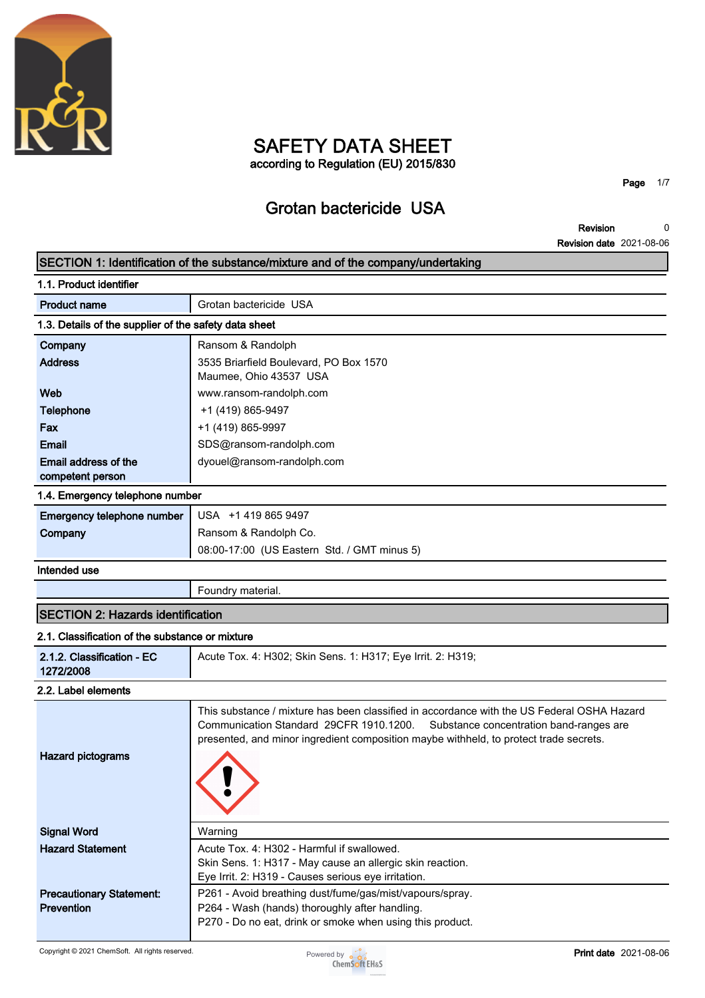

## **SAFETY DATA SHEET according to Regulation (EU) 2015/830**

**Page 1/7**

# **Grotan bactericide USA**

**Revision Revision date 2021-08-06 0**

|                                                       | SECTION 1: Identification of the substance/mixture and of the company/undertaking                                                                                                                                                                                         |
|-------------------------------------------------------|---------------------------------------------------------------------------------------------------------------------------------------------------------------------------------------------------------------------------------------------------------------------------|
| 1.1. Product identifier                               |                                                                                                                                                                                                                                                                           |
| <b>Product name</b>                                   | Grotan bactericide USA                                                                                                                                                                                                                                                    |
| 1.3. Details of the supplier of the safety data sheet |                                                                                                                                                                                                                                                                           |
| Company                                               | Ransom & Randolph                                                                                                                                                                                                                                                         |
| <b>Address</b>                                        | 3535 Briarfield Boulevard, PO Box 1570<br>Maumee, Ohio 43537 USA                                                                                                                                                                                                          |
| Web                                                   | www.ransom-randolph.com                                                                                                                                                                                                                                                   |
| <b>Telephone</b>                                      | +1 (419) 865-9497                                                                                                                                                                                                                                                         |
| Fax                                                   | +1 (419) 865-9997                                                                                                                                                                                                                                                         |
| Email                                                 | SDS@ransom-randolph.com                                                                                                                                                                                                                                                   |
| Email address of the                                  | dyouel@ransom-randolph.com                                                                                                                                                                                                                                                |
| competent person                                      |                                                                                                                                                                                                                                                                           |
| 1.4. Emergency telephone number                       |                                                                                                                                                                                                                                                                           |
| Emergency telephone number                            | USA +1 419 865 9497                                                                                                                                                                                                                                                       |
| Company                                               | Ransom & Randolph Co.                                                                                                                                                                                                                                                     |
|                                                       | 08:00-17:00 (US Eastern Std. / GMT minus 5)                                                                                                                                                                                                                               |
| Intended use                                          |                                                                                                                                                                                                                                                                           |
|                                                       | Foundry material.                                                                                                                                                                                                                                                         |
| <b>SECTION 2: Hazards identification</b>              |                                                                                                                                                                                                                                                                           |
| 2.1. Classification of the substance or mixture       |                                                                                                                                                                                                                                                                           |
| 2.1.2. Classification - EC<br>1272/2008               | Acute Tox. 4: H302; Skin Sens. 1: H317; Eye Irrit. 2: H319;                                                                                                                                                                                                               |
| 2.2. Label elements                                   |                                                                                                                                                                                                                                                                           |
| <b>Hazard pictograms</b>                              | This substance / mixture has been classified in accordance with the US Federal OSHA Hazard<br>Communication Standard 29CFR 1910.1200.<br>Substance concentration band-ranges are<br>presented, and minor ingredient composition maybe withheld, to protect trade secrets. |
| <b>Signal Word</b>                                    | Warning                                                                                                                                                                                                                                                                   |
| <b>Hazard Statement</b>                               | Acute Tox. 4: H302 - Harmful if swallowed.<br>Skin Sens. 1: H317 - May cause an allergic skin reaction.                                                                                                                                                                   |
|                                                       | Eye Irrit. 2: H319 - Causes serious eye irritation.                                                                                                                                                                                                                       |
| <b>Precautionary Statement:</b><br>Prevention         | P261 - Avoid breathing dust/fume/gas/mist/vapours/spray.<br>P264 - Wash (hands) thoroughly after handling.<br>P270 - Do no eat, drink or smoke when using this product.                                                                                                   |

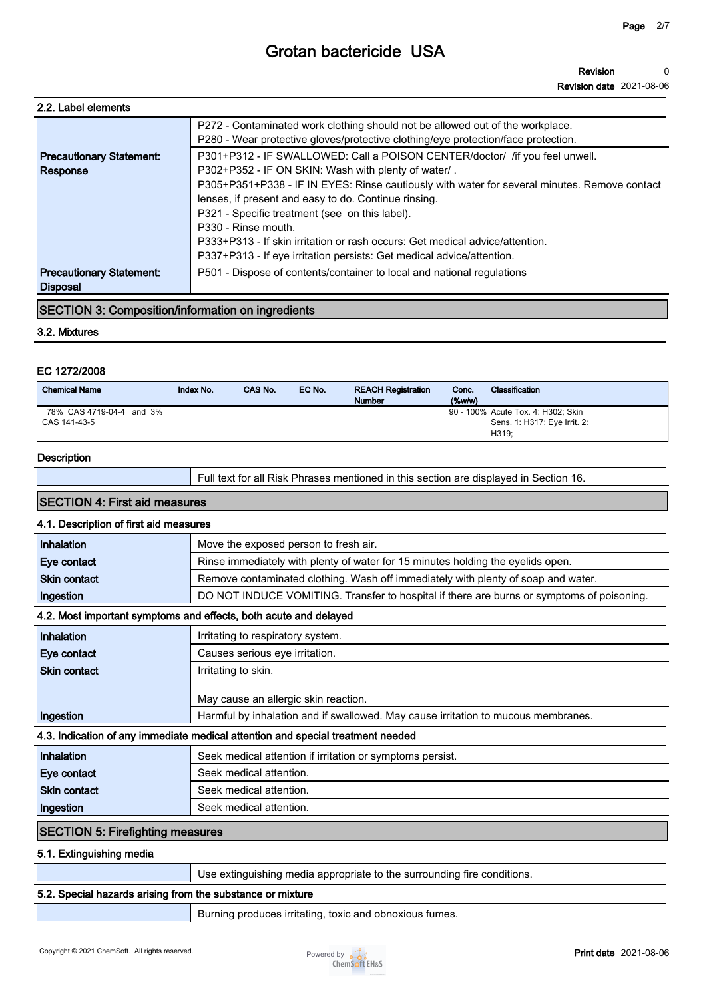| 2.2. Label elements                                      |                                                                                              |
|----------------------------------------------------------|----------------------------------------------------------------------------------------------|
|                                                          | P272 - Contaminated work clothing should not be allowed out of the workplace.                |
|                                                          | P280 - Wear protective gloves/protective clothing/eye protection/face protection.            |
| <b>Precautionary Statement:</b>                          | P301+P312 - IF SWALLOWED: Call a POISON CENTER/doctor/ /if you feel unwell.                  |
| Response                                                 | P302+P352 - IF ON SKIN: Wash with plenty of water/.                                          |
|                                                          | P305+P351+P338 - IF IN EYES: Rinse cautiously with water for several minutes. Remove contact |
|                                                          | lenses, if present and easy to do. Continue rinsing.                                         |
|                                                          | P321 - Specific treatment (see on this label).                                               |
|                                                          | P330 - Rinse mouth.                                                                          |
|                                                          | P333+P313 - If skin irritation or rash occurs: Get medical advice/attention.                 |
|                                                          | P337+P313 - If eye irritation persists: Get medical advice/attention.                        |
| <b>Precautionary Statement:</b>                          | P501 - Dispose of contents/container to local and national regulations                       |
| <b>Disposal</b>                                          |                                                                                              |
| <b>SECTION 3: Composition/information on ingredients</b> |                                                                                              |
|                                                          |                                                                                              |

#### **3.2. Mixtures**

#### **EC 1272/2008**

| <b>Chemical Name</b>     | Index No. | CAS No. | EC No. | <b>REACH Registration</b><br><b>Number</b> | Conc.<br>$(\%w/w)$ | Classification                     |
|--------------------------|-----------|---------|--------|--------------------------------------------|--------------------|------------------------------------|
| 78% CAS 4719-04-4 and 3% |           |         |        |                                            |                    | 90 - 100% Acute Tox. 4: H302; Skin |
| CAS 141-43-5             |           |         |        |                                            |                    | Sens. 1: H317; Eye Irrit. 2:       |
|                          |           |         |        |                                            |                    | H319:                              |

#### **Description**

**Full text for all Risk Phrases mentioned in this section are displayed in Section 16.**

### **SECTION 4: First aid measures**

#### **4.1. Description of first aid measures**

| Inhalation                              | Move the exposed person to fresh air.                                                     |
|-----------------------------------------|-------------------------------------------------------------------------------------------|
| Eye contact                             | Rinse immediately with plenty of water for 15 minutes holding the eyelids open.           |
| <b>Skin contact</b>                     | Remove contaminated clothing. Wash off immediately with plenty of soap and water.         |
| Ingestion                               | DO NOT INDUCE VOMITING. Transfer to hospital if there are burns or symptoms of poisoning. |
|                                         | 4.2. Most important symptoms and effects, both acute and delayed                          |
| Inhalation                              | Irritating to respiratory system.                                                         |
| Eye contact                             | Causes serious eye irritation.                                                            |
| <b>Skin contact</b>                     | Irritating to skin.                                                                       |
|                                         | May cause an allergic skin reaction.                                                      |
| Ingestion                               | Harmful by inhalation and if swallowed. May cause irritation to mucous membranes.         |
|                                         | 4.3. Indication of any immediate medical attention and special treatment needed           |
| Inhalation                              | Seek medical attention if irritation or symptoms persist.                                 |
| Eye contact                             | Seek medical attention.                                                                   |
| <b>Skin contact</b>                     | Seek medical attention.                                                                   |
| Ingestion                               | Seek medical attention.                                                                   |
| <b>SECTION 5: Firefighting measures</b> |                                                                                           |
| 5.1. Extinguishing media                |                                                                                           |
|                                         | Use extinguishing media appropriate to the surrounding fire conditions.                   |

#### **5.2. Special hazards arising from the substance or mixture**

**Burning produces irritating, toxic and obnoxious fumes.**

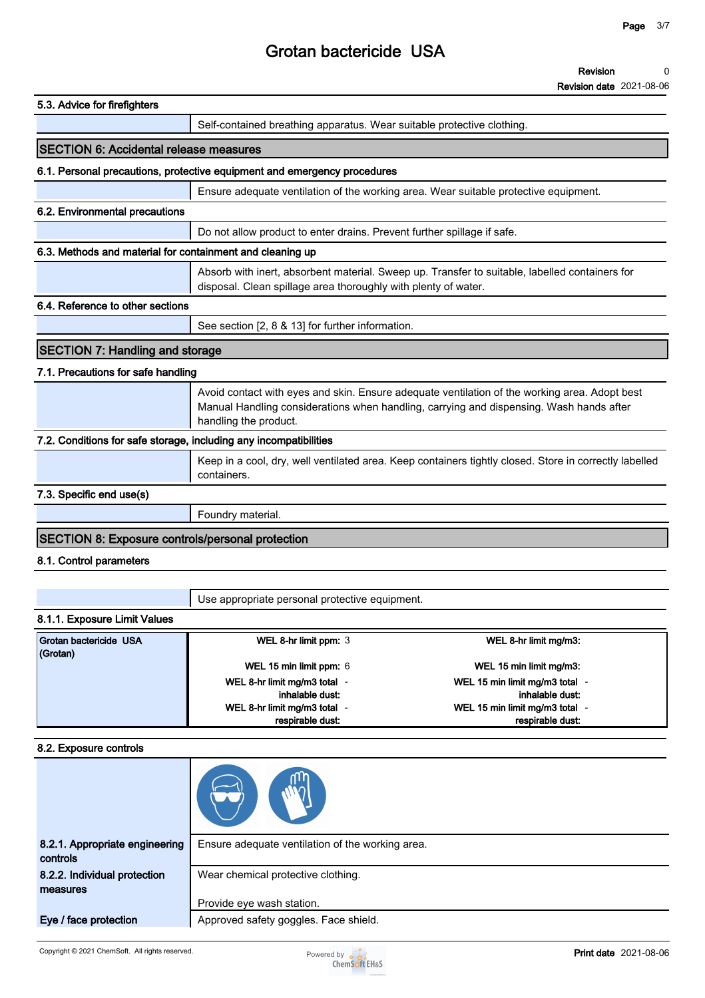| 5.3. Advice for firefighters                                      |                                                                                                                                                                                                                   |
|-------------------------------------------------------------------|-------------------------------------------------------------------------------------------------------------------------------------------------------------------------------------------------------------------|
|                                                                   | Self-contained breathing apparatus. Wear suitable protective clothing.                                                                                                                                            |
| <b>SECTION 6: Accidental release measures</b>                     |                                                                                                                                                                                                                   |
|                                                                   | 6.1. Personal precautions, protective equipment and emergency procedures                                                                                                                                          |
|                                                                   | Ensure adequate ventilation of the working area. Wear suitable protective equipment.                                                                                                                              |
| 6.2. Environmental precautions                                    |                                                                                                                                                                                                                   |
|                                                                   | Do not allow product to enter drains. Prevent further spillage if safe.                                                                                                                                           |
| 6.3. Methods and material for containment and cleaning up         |                                                                                                                                                                                                                   |
|                                                                   | Absorb with inert, absorbent material. Sweep up. Transfer to suitable, labelled containers for<br>disposal. Clean spillage area thoroughly with plenty of water.                                                  |
| 6.4. Reference to other sections                                  |                                                                                                                                                                                                                   |
|                                                                   | See section [2, 8 & 13] for further information.                                                                                                                                                                  |
| <b>SECTION 7: Handling and storage</b>                            |                                                                                                                                                                                                                   |
| 7.1. Precautions for safe handling                                |                                                                                                                                                                                                                   |
|                                                                   | Avoid contact with eyes and skin. Ensure adequate ventilation of the working area. Adopt best<br>Manual Handling considerations when handling, carrying and dispensing. Wash hands after<br>handling the product. |
| 7.2. Conditions for safe storage, including any incompatibilities |                                                                                                                                                                                                                   |
|                                                                   | Keep in a cool, dry, well ventilated area. Keep containers tightly closed. Store in correctly labelled<br>containers.                                                                                             |
| 7.3. Specific end use(s)                                          |                                                                                                                                                                                                                   |
|                                                                   | Foundry material.                                                                                                                                                                                                 |
| <b>SECTION 8: Exposure controls/personal protection</b>           |                                                                                                                                                                                                                   |
| 8.1. Control parameters                                           |                                                                                                                                                                                                                   |
|                                                                   |                                                                                                                                                                                                                   |
|                                                                   | Use appropriate personal protective equipment.                                                                                                                                                                    |

### **8.1.1. Exposure Limit Values**

| Grotan bactericide USA<br>(Grotan) | WEL 8-hr limit ppm: 3      | WEL 8-hr limit mg/m3:          |
|------------------------------------|----------------------------|--------------------------------|
|                                    | WEL 15 min limit ppm: 6    | WEL 15 min limit mg/m3:        |
|                                    | WEL 8-hr limit mg/m3 total | WEL 15 min limit mg/m3 total - |
|                                    | inhalable dust:            | inhalable dust:                |
|                                    | WEL 8-hr limit mg/m3 total | WEL 15 min limit mg/m3 total - |
|                                    | respirable dust:           | respirable dust:               |

#### **8.2. Exposure controls**

| 8.2.1. Appropriate engineering<br>controls | Ensure adequate ventilation of the working area. |
|--------------------------------------------|--------------------------------------------------|
| 8.2.2. Individual protection               | Wear chemical protective clothing.               |
| measures                                   |                                                  |
|                                            | Provide eye wash station.                        |
| Eye / face protection                      | Approved safety goggles. Face shield.            |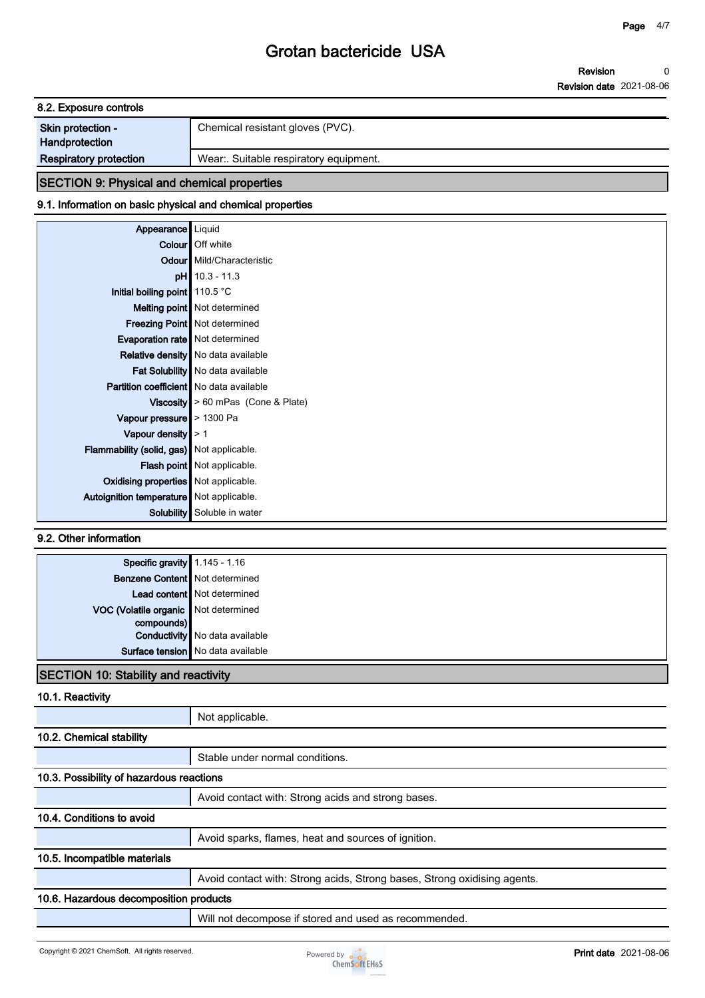**Revision Revision date 2021-08-06 0**

| 8.2. Exposure controls                             |                                       |
|----------------------------------------------------|---------------------------------------|
| Skin protection -<br>Handprotection                | Chemical resistant gloves (PVC).      |
| <b>Respiratory protection</b>                      | Wear: Suitable respiratory equipment. |
| <b>SECTION 9: Physical and chemical properties</b> |                                       |

## **9.1. Information on basic physical and chemical properties**

| Appearance   Liquid<br>Colour   Off white<br><b>Odour</b> Mild/Characteristic<br>$pH$ 10.3 - 11.3<br>Initial boiling point 110.5 °C<br>Melting point   Not determined<br><b>Freezing Point</b> Not determined<br>Evaporation rate   Not determined |
|----------------------------------------------------------------------------------------------------------------------------------------------------------------------------------------------------------------------------------------------------|
|                                                                                                                                                                                                                                                    |
|                                                                                                                                                                                                                                                    |
|                                                                                                                                                                                                                                                    |
|                                                                                                                                                                                                                                                    |
|                                                                                                                                                                                                                                                    |
|                                                                                                                                                                                                                                                    |
|                                                                                                                                                                                                                                                    |
|                                                                                                                                                                                                                                                    |
| <b>Relative density</b> No data available                                                                                                                                                                                                          |
| Fat Solubility   No data available                                                                                                                                                                                                                 |
| <b>Partition coefficient</b> No data available                                                                                                                                                                                                     |
| Viscosity $\geq 60$ mPas (Cone & Plate)                                                                                                                                                                                                            |
| Vapour pressure $\geq 1300$ Pa                                                                                                                                                                                                                     |
| Vapour density $\geq 1$                                                                                                                                                                                                                            |
| Flammability (solid, gas) Not applicable.                                                                                                                                                                                                          |
| Flash point   Not applicable.                                                                                                                                                                                                                      |
| Oxidising properties   Not applicable.                                                                                                                                                                                                             |
| Autoignition temperature   Not applicable.                                                                                                                                                                                                         |
| Solubility Soluble in water                                                                                                                                                                                                                        |

### **9.2. Other information**

| <b>Specific gravity</b> 1.145 - 1.16<br><b>Benzene Content</b> Not determined |                                       |
|-------------------------------------------------------------------------------|---------------------------------------|
|                                                                               |                                       |
|                                                                               | Lead content   Not determined         |
| VOC (Volatile organic Not determined                                          |                                       |
| compounds)                                                                    |                                       |
|                                                                               | <b>Conductivity</b> No data available |
|                                                                               | Surface tension   No data available   |
|                                                                               |                                       |

#### **SECTION 10: Stability and reactivity**

### **10.1. Reactivity**

|                                          | Not applicable.                                                          |
|------------------------------------------|--------------------------------------------------------------------------|
| 10.2. Chemical stability                 |                                                                          |
|                                          | Stable under normal conditions.                                          |
| 10.3. Possibility of hazardous reactions |                                                                          |
|                                          | Avoid contact with: Strong acids and strong bases.                       |
| 10.4. Conditions to avoid                |                                                                          |
|                                          | Avoid sparks, flames, heat and sources of ignition.                      |
| 10.5. Incompatible materials             |                                                                          |
|                                          | Avoid contact with: Strong acids, Strong bases, Strong oxidising agents. |
| 10.6. Hazardous decomposition products   |                                                                          |
|                                          | Will not decompose if stored and used as recommended.                    |

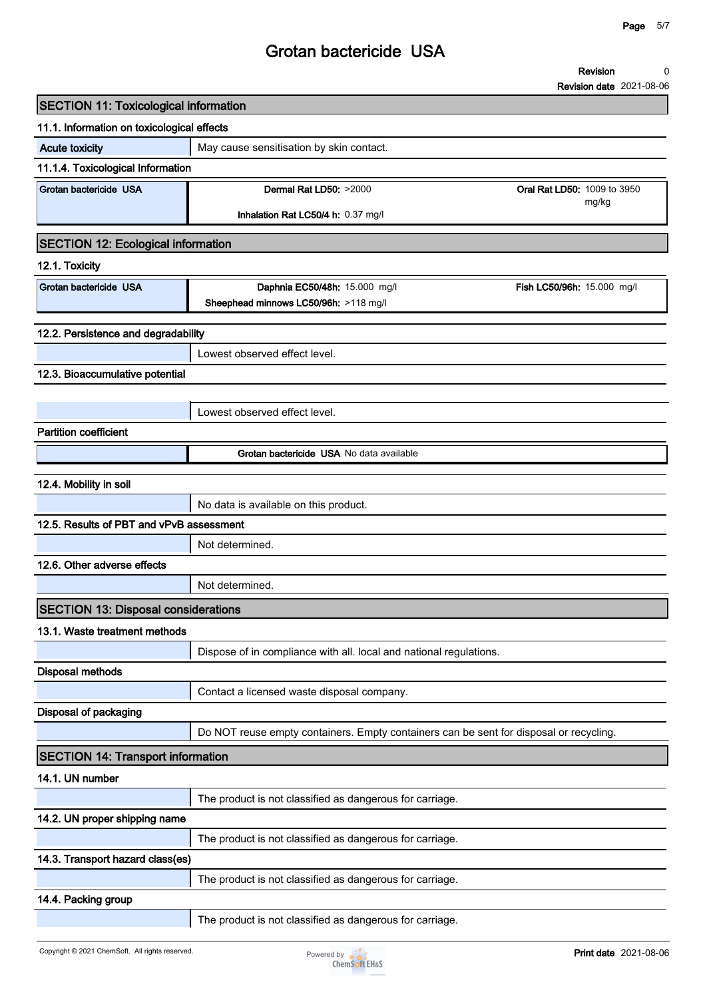**Revision 0**

**Revision date 2021-08-06**

| 11.1. Information on toxicological effects<br><b>Acute toxicity</b><br>May cause sensitisation by skin contact.<br>11.1.4. Toxicological Information<br>Grotan bactericide USA<br>Dermal Rat LD50: >2000<br><b>Oral Rat LD50: 1009 to 3950</b><br>mg/kg<br>Inhalation Rat LC50/4 h: 0.37 mg/l<br><b>SECTION 12: Ecological information</b><br>12.1. Toxicity<br>Grotan bactericide USA<br>Daphnia EC50/48h: 15.000 mg/l<br>Fish LC50/96h: 15.000 mg/l<br>Sheephead minnows LC50/96h: >118 mg/l<br>12.2. Persistence and degradability<br>Lowest observed effect level.<br>12.3. Bioaccumulative potential |
|-----------------------------------------------------------------------------------------------------------------------------------------------------------------------------------------------------------------------------------------------------------------------------------------------------------------------------------------------------------------------------------------------------------------------------------------------------------------------------------------------------------------------------------------------------------------------------------------------------------|
|                                                                                                                                                                                                                                                                                                                                                                                                                                                                                                                                                                                                           |
|                                                                                                                                                                                                                                                                                                                                                                                                                                                                                                                                                                                                           |
|                                                                                                                                                                                                                                                                                                                                                                                                                                                                                                                                                                                                           |
|                                                                                                                                                                                                                                                                                                                                                                                                                                                                                                                                                                                                           |
|                                                                                                                                                                                                                                                                                                                                                                                                                                                                                                                                                                                                           |
|                                                                                                                                                                                                                                                                                                                                                                                                                                                                                                                                                                                                           |
|                                                                                                                                                                                                                                                                                                                                                                                                                                                                                                                                                                                                           |
|                                                                                                                                                                                                                                                                                                                                                                                                                                                                                                                                                                                                           |
|                                                                                                                                                                                                                                                                                                                                                                                                                                                                                                                                                                                                           |
|                                                                                                                                                                                                                                                                                                                                                                                                                                                                                                                                                                                                           |
|                                                                                                                                                                                                                                                                                                                                                                                                                                                                                                                                                                                                           |
|                                                                                                                                                                                                                                                                                                                                                                                                                                                                                                                                                                                                           |
|                                                                                                                                                                                                                                                                                                                                                                                                                                                                                                                                                                                                           |
| Lowest observed effect level.                                                                                                                                                                                                                                                                                                                                                                                                                                                                                                                                                                             |
| <b>Partition coefficient</b>                                                                                                                                                                                                                                                                                                                                                                                                                                                                                                                                                                              |
| Grotan bactericide USA No data available                                                                                                                                                                                                                                                                                                                                                                                                                                                                                                                                                                  |
|                                                                                                                                                                                                                                                                                                                                                                                                                                                                                                                                                                                                           |
| 12.4. Mobility in soil                                                                                                                                                                                                                                                                                                                                                                                                                                                                                                                                                                                    |
| No data is available on this product.                                                                                                                                                                                                                                                                                                                                                                                                                                                                                                                                                                     |
| 12.5. Results of PBT and vPvB assessment                                                                                                                                                                                                                                                                                                                                                                                                                                                                                                                                                                  |
| Not determined.                                                                                                                                                                                                                                                                                                                                                                                                                                                                                                                                                                                           |
| 12.6. Other adverse effects                                                                                                                                                                                                                                                                                                                                                                                                                                                                                                                                                                               |
| Not determined.                                                                                                                                                                                                                                                                                                                                                                                                                                                                                                                                                                                           |
| <b>SECTION 13: Disposal considerations</b>                                                                                                                                                                                                                                                                                                                                                                                                                                                                                                                                                                |
| 13.1. Waste treatment methods                                                                                                                                                                                                                                                                                                                                                                                                                                                                                                                                                                             |
| Dispose of in compliance with all. local and national regulations.                                                                                                                                                                                                                                                                                                                                                                                                                                                                                                                                        |
| <b>Disposal methods</b>                                                                                                                                                                                                                                                                                                                                                                                                                                                                                                                                                                                   |
| Contact a licensed waste disposal company.                                                                                                                                                                                                                                                                                                                                                                                                                                                                                                                                                                |
| Disposal of packaging                                                                                                                                                                                                                                                                                                                                                                                                                                                                                                                                                                                     |
| Do NOT reuse empty containers. Empty containers can be sent for disposal or recycling.                                                                                                                                                                                                                                                                                                                                                                                                                                                                                                                    |
| <b>SECTION 14: Transport information</b>                                                                                                                                                                                                                                                                                                                                                                                                                                                                                                                                                                  |
| 14.1. UN number                                                                                                                                                                                                                                                                                                                                                                                                                                                                                                                                                                                           |
| The product is not classified as dangerous for carriage.                                                                                                                                                                                                                                                                                                                                                                                                                                                                                                                                                  |
| 14.2. UN proper shipping name                                                                                                                                                                                                                                                                                                                                                                                                                                                                                                                                                                             |
| The product is not classified as dangerous for carriage.                                                                                                                                                                                                                                                                                                                                                                                                                                                                                                                                                  |
| 14.3. Transport hazard class(es)                                                                                                                                                                                                                                                                                                                                                                                                                                                                                                                                                                          |
| The product is not classified as dangerous for carriage.                                                                                                                                                                                                                                                                                                                                                                                                                                                                                                                                                  |
| 14.4. Packing group                                                                                                                                                                                                                                                                                                                                                                                                                                                                                                                                                                                       |
| The product is not classified as dangerous for carriage.                                                                                                                                                                                                                                                                                                                                                                                                                                                                                                                                                  |

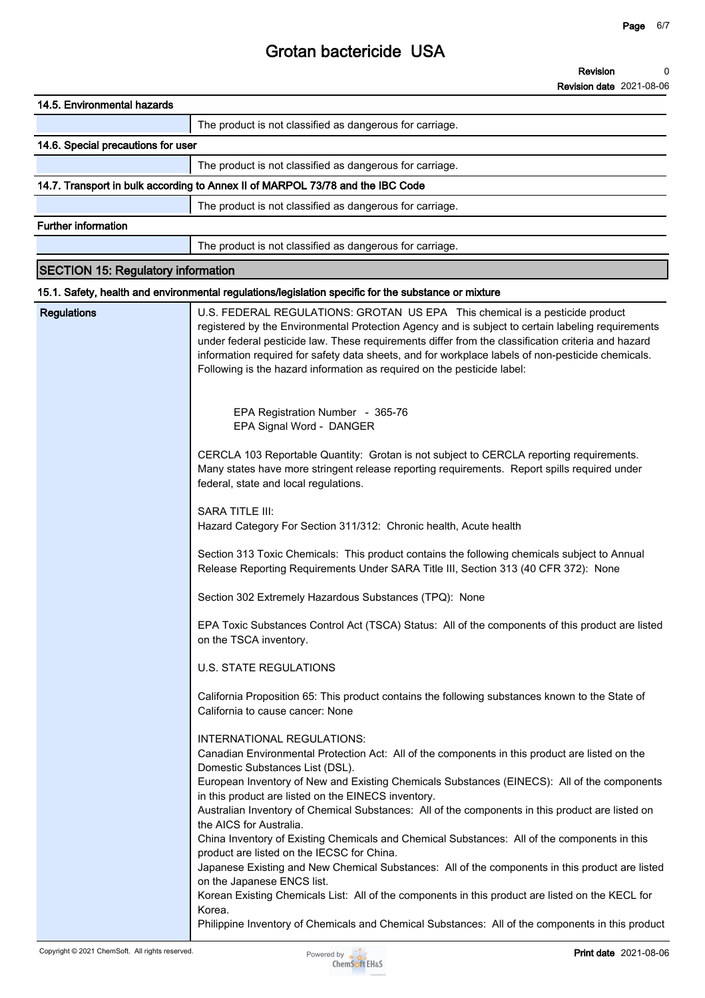**Revision Revision date 2021-08-06 0**

| 14.5. Environmental hazards               |                                                                                                                                                                                                                                                                                                                                                                                                                                                                                                                                                                                                                                                                                                                                                                                                                                                                                                                                                       |
|-------------------------------------------|-------------------------------------------------------------------------------------------------------------------------------------------------------------------------------------------------------------------------------------------------------------------------------------------------------------------------------------------------------------------------------------------------------------------------------------------------------------------------------------------------------------------------------------------------------------------------------------------------------------------------------------------------------------------------------------------------------------------------------------------------------------------------------------------------------------------------------------------------------------------------------------------------------------------------------------------------------|
|                                           | The product is not classified as dangerous for carriage.                                                                                                                                                                                                                                                                                                                                                                                                                                                                                                                                                                                                                                                                                                                                                                                                                                                                                              |
| 14.6. Special precautions for user        |                                                                                                                                                                                                                                                                                                                                                                                                                                                                                                                                                                                                                                                                                                                                                                                                                                                                                                                                                       |
|                                           | The product is not classified as dangerous for carriage.                                                                                                                                                                                                                                                                                                                                                                                                                                                                                                                                                                                                                                                                                                                                                                                                                                                                                              |
|                                           | 14.7. Transport in bulk according to Annex II of MARPOL 73/78 and the IBC Code                                                                                                                                                                                                                                                                                                                                                                                                                                                                                                                                                                                                                                                                                                                                                                                                                                                                        |
|                                           | The product is not classified as dangerous for carriage.                                                                                                                                                                                                                                                                                                                                                                                                                                                                                                                                                                                                                                                                                                                                                                                                                                                                                              |
| <b>Further information</b>                |                                                                                                                                                                                                                                                                                                                                                                                                                                                                                                                                                                                                                                                                                                                                                                                                                                                                                                                                                       |
|                                           | The product is not classified as dangerous for carriage.                                                                                                                                                                                                                                                                                                                                                                                                                                                                                                                                                                                                                                                                                                                                                                                                                                                                                              |
| <b>SECTION 15: Regulatory information</b> |                                                                                                                                                                                                                                                                                                                                                                                                                                                                                                                                                                                                                                                                                                                                                                                                                                                                                                                                                       |
|                                           | 15.1. Safety, health and environmental regulations/legislation specific for the substance or mixture                                                                                                                                                                                                                                                                                                                                                                                                                                                                                                                                                                                                                                                                                                                                                                                                                                                  |
| <b>Regulations</b>                        | U.S. FEDERAL REGULATIONS: GROTAN US EPA This chemical is a pesticide product<br>registered by the Environmental Protection Agency and is subject to certain labeling requirements<br>under federal pesticide law. These requirements differ from the classification criteria and hazard<br>information required for safety data sheets, and for workplace labels of non-pesticide chemicals.<br>Following is the hazard information as required on the pesticide label:                                                                                                                                                                                                                                                                                                                                                                                                                                                                               |
|                                           | EPA Registration Number - 365-76<br>EPA Signal Word - DANGER                                                                                                                                                                                                                                                                                                                                                                                                                                                                                                                                                                                                                                                                                                                                                                                                                                                                                          |
|                                           | CERCLA 103 Reportable Quantity: Grotan is not subject to CERCLA reporting requirements.<br>Many states have more stringent release reporting requirements. Report spills required under<br>federal, state and local regulations.                                                                                                                                                                                                                                                                                                                                                                                                                                                                                                                                                                                                                                                                                                                      |
|                                           | <b>SARA TITLE III:</b><br>Hazard Category For Section 311/312: Chronic health, Acute health                                                                                                                                                                                                                                                                                                                                                                                                                                                                                                                                                                                                                                                                                                                                                                                                                                                           |
|                                           | Section 313 Toxic Chemicals: This product contains the following chemicals subject to Annual<br>Release Reporting Requirements Under SARA Title III, Section 313 (40 CFR 372): None                                                                                                                                                                                                                                                                                                                                                                                                                                                                                                                                                                                                                                                                                                                                                                   |
|                                           | Section 302 Extremely Hazardous Substances (TPQ): None                                                                                                                                                                                                                                                                                                                                                                                                                                                                                                                                                                                                                                                                                                                                                                                                                                                                                                |
|                                           | EPA Toxic Substances Control Act (TSCA) Status: All of the components of this product are listed<br>on the TSCA inventory.                                                                                                                                                                                                                                                                                                                                                                                                                                                                                                                                                                                                                                                                                                                                                                                                                            |
|                                           | <b>U.S. STATE REGULATIONS</b>                                                                                                                                                                                                                                                                                                                                                                                                                                                                                                                                                                                                                                                                                                                                                                                                                                                                                                                         |
|                                           | California Proposition 65: This product contains the following substances known to the State of<br>California to cause cancer: None                                                                                                                                                                                                                                                                                                                                                                                                                                                                                                                                                                                                                                                                                                                                                                                                                   |
|                                           | INTERNATIONAL REGULATIONS:<br>Canadian Environmental Protection Act: All of the components in this product are listed on the<br>Domestic Substances List (DSL).<br>European Inventory of New and Existing Chemicals Substances (EINECS): All of the components<br>in this product are listed on the EINECS inventory.<br>Australian Inventory of Chemical Substances: All of the components in this product are listed on<br>the AICS for Australia.<br>China Inventory of Existing Chemicals and Chemical Substances: All of the components in this<br>product are listed on the IECSC for China.<br>Japanese Existing and New Chemical Substances: All of the components in this product are listed<br>on the Japanese ENCS list.<br>Korean Existing Chemicals List: All of the components in this product are listed on the KECL for<br>Korea.<br>Philippine Inventory of Chemicals and Chemical Substances: All of the components in this product |